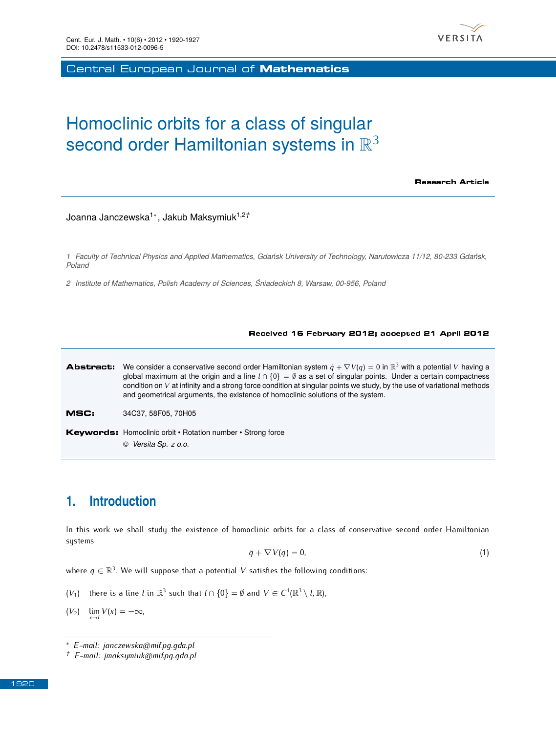

Central European Journal of Mathematics

# Homoclinic orbits for a class of singular second order Hamiltonian systems in  $\mathbb{R}^3$

Research Article

Joanna Janczewska<sup>1</sup>*<sup>∗</sup>* , Jakub Maksymiuk1,2*†*

*1 Faculty of Technical Physics and Applied Mathematics, Gdańsk University of Technology, Narutowicza 11/12, 80-233 Gdańsk, Poland*

*2 Institute of Mathematics, Polish Academy of Sciences, Śniadeckich 8, Warsaw, 00-956, Poland*

#### Received 16 February 2012; accepted 21 April 2012



© *Versita Sp. z o.o.*

# **1. Introduction**

In this work we shall study the existence of homoclinic orbits for a class of conservative second order Hamiltonian systems

<span id="page-0-0"></span>
$$
\ddot{q} + \nabla V(q) = 0,\tag{1}
$$

where  $q \in \mathbb{R}^3$ . We will suppose that a potential  $V$  satisfies the following conditions:

- <span id="page-0-1"></span> $(V_1)$  there is a line *l* in  $\mathbb{R}^3$  such that  $l \cap \{0\} = \emptyset$  and  $V \in C^1(\mathbb{R}^3 \setminus l, \mathbb{R})$ ,
- <span id="page-0-2"></span> $(V_2)$   $\lim_{x\to l} V(x) = -\infty$ ,

*<sup>∗</sup> E-mail: janczewska@mif.pg.gda.pl*

*<sup>†</sup> E-mail: jmaksymiuk@mif.pg.gda.pl*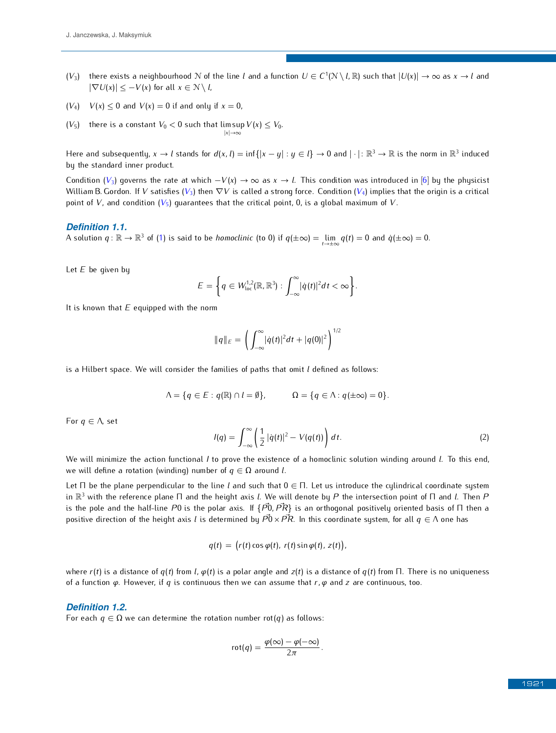- <span id="page-1-0"></span>(*V*<sub>3</sub>) there exists a neighbourhood N of the line *l* and a function  $U \in C^1(\mathbb{N} \setminus l, \mathbb{R})$  such that  $|U(x)| \to \infty$  as  $x \to l$  and  $|\nabla U(x)| \leq |V(x)| \leq C^2(\mathbb{N} \setminus l, \mathbb{R})$ *|* $∇U(x)$ *|* ≤  $-V(x)$  for all *x* ∈  $N \setminus l$ ,
- <span id="page-1-1"></span> $(V_4)$   $V(x) \leq 0$  and  $V(x) = 0$  if and only if  $x = 0$ ,
- <span id="page-1-2"></span> $(V_5)$  there is a constant  $V_0 < 0$  such that  $\limsup_{|x| \to \infty} V(x) \leq V_0.$ *|x|→∞*

Here and subsequently,  $x \to l$  stands for  $d(x, l) = \inf\{|x - y| : y \in l\} \to 0$  and  $|\cdot| : \mathbb{R}^3 \to \mathbb{R}$  is the norm in  $\mathbb{R}^3$  induced by the standard inner product by the standard inner product.

Condition (*[V](#page-1-0)*3) governs the rate at which *−V*(*x*) *→ ∞* as *<sup>x</sup> <sup>→</sup> <sup>l</sup>*. This condition was introduced in [\[6\]](#page-7-0) by the physicist William B.Gordon. If *<sup>V</sup>* satisfies (*[V](#page-1-0)*3) then *∇V* is called a strong force. Condition (*[V](#page-1-1)*4) implies that the origin is a critical point of *[V](#page-1-2)*, and condition  $(V_5)$  quarantees that the critical point, 0, is a global maximum of *V*.

#### *Definition 1.1.*

A solution  $q: \mathbb{R} \to \mathbb{R}^3$  of [\(1\)](#page-0-0) is said to be *homoclinic* (to 0) if  $q(\pm \infty) = \lim_{t \to \pm \infty} q(t) = 0$  and  $\dot{q}(\pm \infty) = 0$ .

Let *<sup>E</sup>* be given by

$$
E = \bigg\{q \in W^{1,2}_{loc}(\mathbb{R}, \mathbb{R}^3) : \int_{-\infty}^{\infty} |\dot{q}(t)|^2 dt < \infty \bigg\}.
$$

It is known that *<sup>E</sup>* equipped with the norm

$$
||q||_E = \left(\int_{-\infty}^{\infty} |\dot{q}(t)|^2 dt + |q(0)|^2\right)^{1/2}
$$

is a Hilbert space. We will consider the families of paths that omit *<sup>l</sup>* defined as follows:

$$
\Lambda = \{q \in E : q(\mathbb{R}) \cap l = \emptyset\}, \qquad \Omega = \{q \in \Lambda : q(\pm \infty) = 0\}.
$$

For *<sup>q</sup> <sup>∈</sup>* Λ, set

<span id="page-1-3"></span>
$$
I(q) = \int_{-\infty}^{\infty} \left( \frac{1}{2} |\dot{q}(t)|^2 - V(q(t)) \right) dt.
$$
 (2)

We will minimize the action functional *<sup>I</sup>* to prove the existence of a homoclinic solution winding around *<sup>l</sup>*. To this end, we will define a rotation (winding) number of  $q \in \Omega$  around *l*.

Let <sup>Π</sup> be the plane perpendicular to the line *<sup>l</sup>* and such that <sup>0</sup> *<sup>∈</sup>* Π. Let us introduce the cylindrical coordinate system in R <sup>3</sup> with the reference plane <sup>Π</sup> and the height axis *<sup>l</sup>*. We will denote by *<sup>P</sup>* the intersection point of <sup>Π</sup> and *<sup>l</sup>*. Then *<sup>P</sup>* is the pole and the half-line *<sup>P</sup>*<sup>0</sup> is the polar axis. If *{P~*0*,PR~ }* is an orthogonal positively oriented basis of <sup>Π</sup> then a positive direction of the height axis *l* is determined by  $\vec{P}0 \times \vec{PR}$ . In this coordinate system, for all  $q \in \Lambda$  one has

$$
q(t) = (r(t)\cos\varphi(t), r(t)\sin\varphi(t), z(t)),
$$

where *<sup>r</sup>*(*t*) is a distance of *<sup>q</sup>*(*t*) from *<sup>l</sup>*, *<sup>φ</sup>*(*t*) is a polar angle and *<sup>z</sup>*(*t*) is a distance of *<sup>q</sup>*(*t*) from Π. There is no uniqueness of a function *<sup>φ</sup>*. However, if *<sup>q</sup>* is continuous then we can assume that *r, φ* and *<sup>z</sup>* are continuous, too.

#### *Definition 1.2.*

For each  $q \in \Omega$  we can determine the rotation number rot(q) as follows:

$$
rot(q) = \frac{\varphi(\infty) - \varphi(-\infty)}{2\pi}.
$$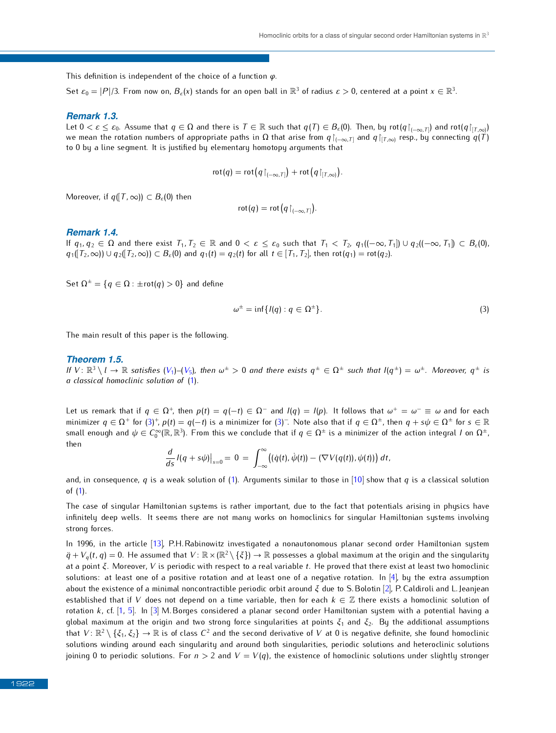This definition is independent of the choice of a function *<sup>φ</sup>*.

Set  $\varepsilon_0 = |P|/3$ . From now on,  $B_{\varepsilon}(x)$  stands for an open ball in  $\mathbb{R}^3$  of radius  $\varepsilon > 0$ , centered at a point  $x \in \mathbb{R}^3$ .

#### *Remark 1.3.*

Let  $0 < \varepsilon \leq \varepsilon_0$ . Assume that  $q \in \Omega$  and there is  $T \in \mathbb{R}$  such that  $q(T) \in B_{\varepsilon}(0)$ . Then, by rot $(q|_{[-\infty,T]})$  and  $rot(q|_{[T,\infty)}$ <br>we mean the rotation numbers of appropriate paths in Q that arise from  $q$ , and  $q$ we mean the rotation numbers of appropriate paths in  $\Omega$  that arise from  $q|_{(-\infty,T]}$  and  $q|_{[T,\infty)}$  resp., by connecting  $q(T)$ to 0 by a line segment. It is justified by elementary homotopy arguments that

$$
rot(q) = rot(q\upharpoonright_{(-\infty,T]}) + rot(q\upharpoonright_{[T,\infty)}).
$$

Moreover, if  $q([T, \infty)) \subset B_{\varepsilon}(0)$  then

$$
rot(q) = rot(q\upharpoonright_{(-\infty,T]}).
$$

#### *Remark 1.4.*

If  $q_1, q_2 \in \Omega$  and there exist  $T_1, T_2 \in \mathbb{R}$  and  $0 < \varepsilon \leq \varepsilon_0$  such that  $T_1 < T_2$ ,  $q_1((-\infty, T_1]) \cup q_2((-\infty, T_1]) \subset B_{\varepsilon}(0)$ ,  $q_1([T_2,\infty)) \cup q_2([T_2,\infty)) \subset B_{\varepsilon}(0)$  and  $q_1(t) = q_2(t)$  for all  $t \in [T_1,T_2]$ , then  $\text{rot}(q_1) = \text{rot}(q_2)$ .

Set  $Ω<sup>±</sup> = {q ∈ Ω : ±rot(q) > 0}$  and define

<span id="page-2-0"></span>
$$
\omega^{\pm} = \inf \{ l(q) : q \in \Omega^{\pm} \}. \tag{3}
$$

The main result of this paper is the following.

### <span id="page-2-1"></span>*Theorem 1.5.*

If  $V: \mathbb{R}^3 \setminus l \to \mathbb{R}$  $V: \mathbb{R}^3 \setminus l \to \mathbb{R}$  satisfies  $(V_1)$ – $(V_5)$ , then  $\omega^{\pm} > 0$  and there exists  $q^{\pm} \in \Omega^{\pm}$  such that  $I(q^{\pm}) = \omega^{\pm}$ . Moreover,  $q^{\pm}$  is a classical bomoclinic solution of (1) *a classical homoclinic solution of* [\(1\)](#page-0-0)*.*

Let us remark that if  $q \in \Omega^+$ , then  $p(t) = q(-t) \in \Omega^-$  a[nd](#page-2-0)  $I(q) = I(p)$ . It follows that  $\omega^+ = \omega^- \equiv \omega$  and for each minimizes  $q \in \Omega^+$  for  $\Omega^+$  and  $I$  is a minimizes for  $\Omega^-$ . Note also that if  $q \in \Omega^+$  then  $q + q \mid \Omega^+$ minimizer  $q \in \Omega^+$  for  $(3)^+$  $(3)^+$ ,  $p(t) = q(-t)$  is a minimizer for  $(3)^-$ . Note also that if  $q \in \Omega^+$ , then  $q + s\psi \in \Omega^{\pm}$  for  $s \in \mathbb{R}$ <br>and longitude and the  $C^{\infty}(\mathbb{R} \setminus \mathbb{R}^3)$ . Examplifying conclude that if  $q \in \$ small enough and  $\psi \in C_0^\infty(\mathbb{R},\mathbb{R}^3).$  From this we conclude that if  $q \in \Omega^\pm$  is a minimizer of the action integral *I* on  $\Omega^\pm$ , then

$$
\frac{d}{ds} I(q+s\psi)\big|_{s=0}=0=\int_{-\infty}^{\infty} \bigl((\dot{q}(t),\dot{\psi}(t))-(\nabla V(q(t)),\psi(t))\bigr)\,dt,
$$

and, in consequence, *q* is a weak solution of [\(1\)](#page-0-0). Arguments similar to those in [\[10\]](#page-7-1) show that *q* is a classical solution of (1).  $\cdots$  [\(1\)](#page-0-0).

The case of singular Hamiltonian systems is rather important, due to the fact that potentials archives in physics have the fact that possible in physics have the fact that possible in physics have the fact that physics hav infinitely deep wells. It seems there are not many works on homoclinics for singular Hamiltonian systems involving strong forces.

 $\ddot{q} + V_q(t, q) = 0$ . He assumed that  $V: \mathbb{R} \times (\mathbb{R}^2 \setminus \{\xi\}) \to \mathbb{R}$  possesses a global maximum at the origin and the signal maximum of  $\ddot{q} + V_q(t, q) = 0$ . He assumed that  $V: \mathbb{R} \times (\mathbb{R}^2 \setminus \{\xi\}) \to \mathbb{R}$  possesse at a point *<sup>ξ</sup>*. Moreover, *<sup>V</sup>* is periodic with respect to a real variable *<sup>t</sup>*. He proved that there [ex](#page-6-0)ist at least two homoclinic  $\frac{1}{2}$  and  $\frac{1}{2}$  and  $\frac{1}{2}$  and  $\frac{1}{2}$  and  $\frac{1}{2}$  and  $\frac{1}{2}$  and  $\frac{1}{2}$  and  $\frac{1}{2}$  and  $\frac{1}{2}$  and  $\frac{1}{2}$  and  $\frac{1}{2}$ . P. Caldrell and  $\frac{1}{2}$ , P. Caldrell and  $\frac{1}{2}$ , P. Caldrell and established th[at](#page-6-2) [if](#page-7-3) *<sup>V</sup>* d[oe](#page-6-3)s not depend on a time variable, then for each *<sup>k</sup> <sup>∈</sup>* <sup>Z</sup> there exists a homoclinic solution of rotation *<sup>k</sup>*, cf. [1, 5]. In [3] M. Borges considered a planar second order Hamiltonian system with a potential having a global maximum at the origin and two strong force singularities at points *<sup>ξ</sup>*<sup>1</sup> and *<sup>ξ</sup>*2. By the additional assumptions that  $V: \mathbb{R}^2 \setminus \{\xi_1, \xi_2\} \to \mathbb{R}$  is of class  $C^2$  and the second derivative of *V* at 0 is negative definite, she found homoclinic<br>colutions winding approach significant approach late signification applications a  $P(X|X)$  is a method of the state of the state  $X$  of  $Y = V(q)$ , the existence of homoclinic solutions under slightly stronger pointing 0 to periodic solutions. For  $n > 2$  and  $V = V(q)$ , the existence of homoclinic solutions u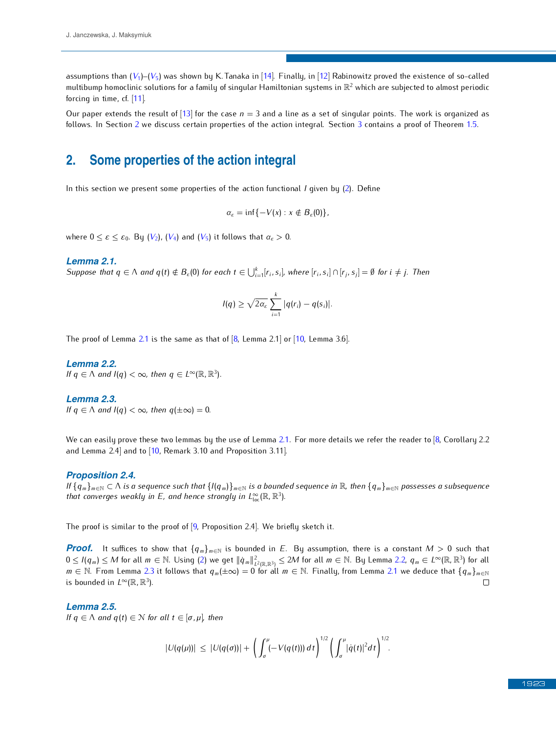assumptions than  $(V_1)$  $(V_1)$  $(V_1)$ – $(V_5)$  was shown by K. Tanaka in [\[14\]](#page-7-4). Finally, in [\[12\]](#page-7-5) Rabinowitz proved the existence of so-called multibump homocli[nic](#page-7-6) solutions for a family of singular Hamiltonian systems in  $\mathbb{R}^2$  which are subjected to almost periodic<br>forsing in time of [11] forcing in time, cf. [11].

Our paper extends [th](#page-3-0)e result of  $[13]$  for the case  $n = 3$  and a line as a set of sing[ula](#page-4-0)r points. The work is organ[ized](#page-2-1) as follows. In Section 2 we discuss certain properties of the action integral. Section 3 contains a proof of Theorem 1.5.

# <span id="page-3-0"></span>**2. Some properties of the action integral**

In this section we present some properties of the action functional *I* given by [\(2\)](#page-1-3). Define

 $\alpha_{\epsilon} = \inf \{-V(x) : x \notin B_{\epsilon}(0)\},$ 

where  $0 \leq \varepsilon \leq \varepsilon_0$ . By  $(V_2)$  $(V_2)$  $(V_2)$ ,  $(V_4)$  and  $(V_5)$  it follows that  $\alpha_{\varepsilon} > 0$ .

#### <span id="page-3-1"></span>*Lemma 2.1.*

Suppose that  $q \in \Lambda$  and  $q(t) \notin B_{\varepsilon}(0)$  for each  $t \in \bigcup_{i=1}^{k} [r_i, s_i]$ , where  $[r_i, s_i] \cap [r_j, s_j] = \emptyset$  for  $i \neq j$ . Then

$$
I(q) \geq \sqrt{2\alpha_{\varepsilon}} \sum_{i=1}^k |q(r_i) - q(s_i)|.
$$

The proof of Lemma [2.1](#page-3-1) is the same as that of  $[8$ , Lemma 2.1] or  $[10$ , Lemma 3.6].

#### <span id="page-3-2"></span>*Lemma 2.2.*

*If*  $q \in \Lambda$  *and I*(*q*)  $<\infty$ *, then*  $q \in L^{\infty}(\mathbb{R}, \mathbb{R}^{3})$ *.* 

#### <span id="page-3-3"></span>*Lemma 2.3.*

*If*  $q \in \Lambda$  *and*  $I(q) < \infty$ *, then*  $q(\pm \infty) = 0$ *.* 

we can easily prove th[ese](#page-7-1) two lemmas by the use of Lemma [2.1.](#page-3-1) For more details we refer to  $\frac{1}{2}$ , Corollary 2.2.  $\frac{1}{2}$ and Lemma 2.4] and to [10, Remark 3.10 and Proposition 3.11].

#### <span id="page-3-4"></span>*Proposition 2.4.*

If  $\{q_m\}_{m\in\mathbb{N}}\subset\Lambda$  is a sequence such that  $\{(q_m)\}_{m\in\mathbb{N}}$  is a bounded sequence in  $\mathbb{R}$ , then  $\{q_m\}_{m\in\mathbb{N}}$  possesses a subsequence that converges weakly in E, and hence strongly in  $L^{\infty}_{\text{loc}}(\mathbb{R}, \mathbb{R}^3)$ .

The proof is similar to the proof of [\[9,](#page-7-8) Proposition 2.4]. We briefly sketch it.

*Proof.* It suffices to show that  ${q_m}_{m \in \mathbb{N}}$  is bounded in *E*. By assumption, there is a constant *M* > 0 such that  $0 \le l(q_m) \le M$  for all  $m \in \mathbb{N}$ . Using [\(2\)](#page-1-3) we get  $\|\dot{q}_m\|_{L^2(\mathbb{R},\mathbb{R}^3)}^2 \le 2M$  for all  $m \in \mathbb{N}$ . By Lemma [2.2,](#page-3-2)  $q_m \in L^{\infty}(\mathbb{R},\mathbb{R}^3)$  for all  $m \in \mathbb{N}$ . Eigenberg and  $2.2$  if follows that  $a$ ,  $l_1 \circ a$ *m* ∈ N. From Lemma [2.3](#page-3-3) it follows that  $q_m(\pm \infty) = 0$  for all  $m \in \mathbb{N}$ . Finally, from Lemma [2.1](#page-3-1) we deduce that  $\{q_m\}_{m\in \mathbb{N}}$  is bounded in  $I^{\infty}(\mathbb{R} \mathbb{R}^3)$ is bounded in  $L^{\infty}(\mathbb{R}, \mathbb{R}^3)$ .

### *Lemma 2.5.*

*If*  $q \in \Lambda$  *and*  $q(t) \in \mathbb{N}$  *for all*  $t \in [\sigma, \mu]$ *, then* 

$$
|U(q(\mu))| \leq |U(q(\sigma))| + \left(\int_{\sigma}^{\mu} (-V(q(t))) dt\right)^{1/2} \left(\int_{\sigma}^{\mu} |\dot{q}(t)|^2 dt\right)^{1/2}.
$$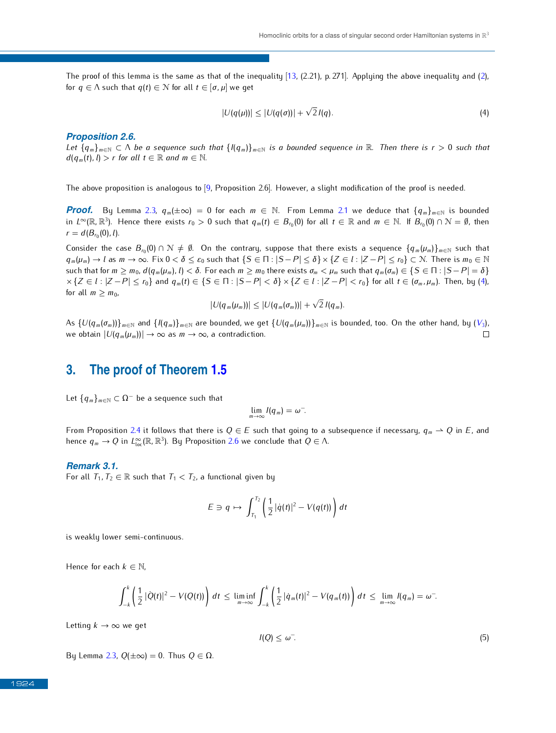The proof of this lemma is the same as that of the inequality  $[13, (2.21), p.271]$ . Applying the above inequality and  $(2)$ , for  $q \in \Lambda$  such that  $q(t) \in \mathcal{N}$  for all  $t \in [\sigma, \mu]$  we get

<span id="page-4-1"></span>
$$
|U(q(\mu))| \leq |U(q(\sigma))| + \sqrt{2} I(q).
$$
\n(4)

#### <span id="page-4-2"></span>*Proposition 2.6.*

*Let*  $\{q_m\}_{m\in\mathbb{N}}\subset\Lambda$  *be a sequence such that*  $\{(q_m)\}_{m\in\mathbb{N}}$  *is a bounded sequence in*  $\mathbb{R}$ *. Then there is*  $r>0$  *such that*  $d(q_m(t), l) > r$  *for all*  $t \in \mathbb{R}$  *and*  $m \in \mathbb{N}$ *.* 

The above proposition is analogous to [\[9,](#page-7-8) Proposition 2.6]. However, a slight modification of the proof is needed.

*Proof.* By Lemma [2.3,](#page-3-3)  $q_m(\pm \infty) = 0$  for each  $m \in \mathbb{N}$ . From Lemma [2.1](#page-3-1) we deduce that  $\{q_m\}_{m \in \mathbb{N}}$  is bounded in  $L^{\infty}(\mathbb{R}, \mathbb{R}^3)$ . Hence there exists  $r_0 > 0$  such that  $q_m(t) \in B_{r_0}(0)$  for all  $t \in \mathbb{R}$  and  $m \in \mathbb{N}$ . If  $B_{r_0}(0) \cap \mathcal{N} = \emptyset$ , then  $r = d(B_{r_0}(0), l).$ 

 $\overline{C}$  Consider the case  $B_{r_0}(0) \cap \mathcal{N} \neq \emptyset$ . On the contrary, suppose that there exists a sequence  $\{q_m(\mu_m)\}_{m \in \mathbb{N}}$  such that  $\overline{C} \subset \mathbb{N} \setminus \{S \subset \mathbb{N} \times \mathbb{N} \times \{Z \subset \mathbb{N} \times \mathbb{N} \times \mathbb{N} \times \mathbb{N} \times \mathbb{N} \$  $q_m(\mu_m) \to l$  as  $m \to \infty$ . Fix  $0 < \delta \leq \varepsilon_0$  such that  $\{S \in \Pi : |S - P| \leq \delta\} \times \{Z \in l : |Z - P| \leq r_0\} \subset \mathbb{N}$ . There is  $m_0 \in \mathbb{N}$ such that for  $m \ge m_0$ ,  $d(q_m(\mu_m), l) < \delta$ . For each  $m \ge m_0$  there exists  $\sigma_m < \mu_m$  such that  $q_m(\sigma_m) \in \{S \in \Pi : |S - P| = \delta\}$  $\times \{Z \in l : |Z - P| \le r_0\}$  and  $q_m(t) \in \{S \in \Pi : |S - P| < \delta\} \times \{Z \in l : |Z - P| < r_0\}$  for all  $t \in (\sigma_m, \mu_m)$ . Then, by [\(4\)](#page-4-1), for all  $m \geq m_0$ , *√*

$$
|U(q_m(\mu_m))| \leq |U(q_m(\sigma_m))| + \sqrt{2} I(q_m).
$$

As  $\{U(q_m(\sigma_m))\}_{m\in\mathbb{N}}$  and  $\{I(q_m)\}_{m\in\mathbb{N}}$  are bounded, we get  $\{U(q_m(\mu_m))\}_{m\in\mathbb{N}}$  is bounded, too. On the other hand, by  $(V_3)$  $(V_3)$  $(V_3)$ , we obtain  $|U(q_m(\mu_m))| \to \infty$  as  $m \to \infty$ , a contradiction. we obtain  $|U(q_m(\mu_m))| \to \infty$  as  $m \to \infty$ , a contradiction.

# <span id="page-4-0"></span>**3. The proof of Theorem [1.5](#page-2-1)**

Let  ${q_m}_{m \in \mathbb{N}} \subset \Omega^-$  be a sequence such that

$$
\lim_{m\to\infty}I(q_m)=\omega^-.
$$

From Proposition [2.4](#page-3-4) it follows that there is *<sup>Q</sup> <sup>∈</sup> <sup>E</sup>* such that going to a subsequence if necessary, *<sup>q</sup><sup>m</sup> \* Q* in *<sup>E</sup>*, and hence  $q_m \to Q$  in  $L^{\infty}_{loc}(\mathbb{R}, \mathbb{R}^3)$ . By Proposition [2.6](#page-4-2) we conclude that  $Q \in \Lambda$ .

#### <span id="page-4-3"></span>*Remark 3.1.*

For all  $T_1, T_2 \in \mathbb{R}$  such that  $T_1 < T_2$ , a functional given by

$$
E \ni q \mapsto \int_{T_1}^{T_2} \left( \frac{1}{2} |\dot{q}(t)|^2 - V(q(t)) \right) dt
$$

is weakly lower semi-continuous.

Hence for each  $k \in \mathbb{N}$ .

$$
\int_{-k}^k \left(\frac{1}{2}|\dot{Q}(t)|^2 - V(Q(t))\right) dt \le \liminf_{m\to\infty} \int_{-k}^k \left(\frac{1}{2}|\dot{q}_m(t)|^2 - V(q_m(t))\right) dt \le \lim_{m\to\infty} I(q_m) = \omega^-.
$$

Letting  $k \to \infty$  we get

<span id="page-4-4"></span>
$$
I(Q) \le \omega^{-}.\tag{5}
$$

By Lemma [2.3,](#page-3-3) *<sup>Q</sup>*(*±∞*) = 0. Thus *<sup>Q</sup> <sup>∈</sup>* Ω.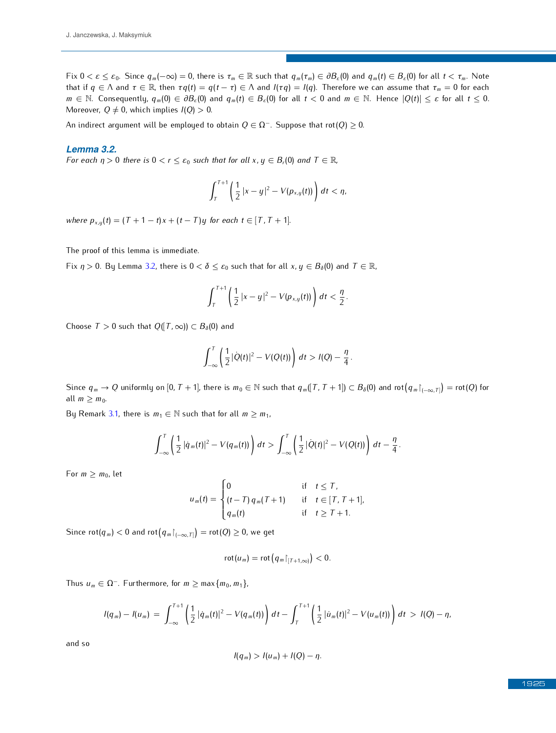Fix  $0 < \varepsilon \leq \varepsilon_0$ . Since  $q_m(-\infty) = 0$ , there is  $\tau_m \in \mathbb{R}$  such that  $q_m(\tau_m) \in \partial B_{\varepsilon}(0)$  and  $q_m(t) \in B_{\varepsilon}(0)$  for all  $t < \tau_m$ . Note that if  $q \in \Lambda$  and  $\tau \in \mathbb{R}$ , then  $\tau q(t) = q(t - \tau) \in \Lambda$  and  $I(\tau q) = I(q)$ . Therefore we can assume that  $\tau_m = 0$  for each  $m \in \mathbb{N}$ . Consequently,  $q_m(0) \in \partial B_{\varepsilon}(0)$  and  $q_m(t) \in B_{\varepsilon}(0)$  for all  $t < 0$  and  $m \in \mathbb{N}$ . Hence  $|Q(t)| \leq \varepsilon$  for all  $t \leq 0$ . Moreover,  $Q \neq 0$ , which implies  $I(Q) > 0$ .

An indirect argument will be employed to obtain  $Q \in \Omega^-$ . Suppose that rot( $Q \geq 0$ .

## <span id="page-5-0"></span>*Lemma 3.2.*

*For each*  $\eta > 0$  *there is*  $0 < r \leq \varepsilon_0$  *such that for all*  $x, y \in B_r(0)$  *and*  $T \in \mathbb{R}$ *,* 

$$
\int_T^{T+1}\left(\frac{1}{2}|x-y|^2-V(p_{x,y}(t))\right)dt<\eta,
$$

*where*  $p_{x,y}(t) = (T + 1 - t)x + (t - T)y$  for each  $t \in [T, T + 1]$ .

The proof of this lemma is immediate.

Fix  $\eta > 0$ . By Lemma [3.2,](#page-5-0) there is  $0 < \delta \leq \varepsilon_0$  such that for all  $x, y \in B_\delta(0)$  and  $T \in \mathbb{R}$ ,

$$
\int_T^{T+1}\left(\frac{1}{2}|x-y|^2-V(p_{x,y}(t))\right)\,dt<\frac{\eta}{2}.
$$

Choose  $T > 0$  such that  $Q(T, \infty)$ )  $\subset B_\delta(0)$  and

$$
\int_{-\infty}^{T} \left( \frac{1}{2} |\dot{Q}(t)|^2 - V(Q(t)) \right) dt > I(Q) - \frac{\eta}{4}
$$

*.*

Since  $q_m \to Q$  uniformly on  $[0, T+1]$ , there is  $m_0 \in \mathbb{N}$  such that  $q_m([T, T+1]) \subset B_\delta(0)$  and  $\text{rot}\big(q_m|_{(-\infty, T]}\big) = \text{rot}(Q)$  for all  $m \geq m_0$ .

By Remark [3.1,](#page-4-3) there is  $m_1 \in \mathbb{N}$  such that for all  $m \geq m_1$ ,

$$
\int_{-\infty}^T \left( \frac{1}{2} |\dot{q}_m(t)|^2 - V(q_m(t)) \right) dt > \int_{-\infty}^T \left( \frac{1}{2} |\dot{Q}(t)|^2 - V(Q(t)) \right) dt - \frac{\eta}{4}.
$$

For  $m \ge m_0$ , let

$$
u_m(t) = \begin{cases} 0 & \text{if } t \leq T, \\ (t - T) q_m(T + 1) & \text{if } t \in [T, T + 1], \\ q_m(t) & \text{if } t \geq T + 1. \end{cases}
$$

Since  $\text{rot}(q_m) < 0$  and  $\text{rot}(q_m|_{(-\infty,T]}) = \text{rot}(Q) \geq 0$ , we get

$$
\mathrm{rot}(u_m)=\mathrm{rot}\big(q_m\!\upharpoonright_{[T+1,\infty)}\big)<0.
$$

Thus *<sup>u</sup><sup>m</sup> <sup>∈</sup>* <sup>Ω</sup>*<sup>−</sup>*. Furthermore, for *<sup>m</sup> <sup>≥</sup>* max*{m*0*, m*1*}*,

$$
I(q_m) - I(u_m) = \int_{-\infty}^{T+1} \left( \frac{1}{2} |\dot{q}_m(t)|^2 - V(q_m(t)) \right) dt - \int_{T}^{T+1} \left( \frac{1}{2} |\dot{u}_m(t)|^2 - V(u_m(t)) \right) dt > I(Q) - \eta,
$$

$$
l(q_m) > l(u_m) + l(Q) - \eta.
$$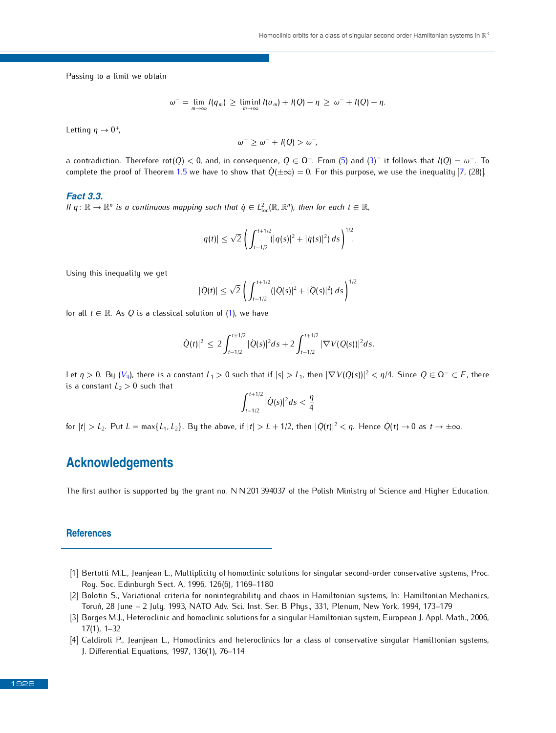Passing to a limit we obtain

$$
\omega^{-} = \lim_{m \to \infty} I(q_m) \ge \liminf_{m \to \infty} I(u_m) + I(Q) - \eta \ge \omega^{-} + I(Q) - \eta.
$$

Letting *<sup>η</sup> <sup>→</sup>* <sup>0</sup> +,

$$
\omega^{-} \geq \omega^{-} + l(Q) > \omega^{-},
$$

a contradiction. Therefore  $\text{rot}(Q) < 0$ , and, in consequence,  $Q \in \Omega^-$ . From [\(5\)](#page-4-4) and [\(3\)](#page-2-0)<sup>-</sup> it follows that  $I(Q) = \omega^-$ <br>complete the proof of Theorem 1.5 we have to chave that  $\dot{Q}(\perp \infty) = 0$ . For this purpose, we use the complete the proof of Theorem [1.5](#page-2-1) we have to show that  $Q(\pm \infty) = 0$ . For this purpose, we use the inequality [\[7,](#page-7-9) (28)].

### *Fact 3.3.*

*If*  $q: \mathbb{R} \to \mathbb{R}^n$  is a continuous mapping such that  $\dot{q} \in L^2_{loc}(\mathbb{R}, \mathbb{R}^n)$ , then for each  $t \in \mathbb{R}$ ,

$$
|q(t)| \leq \sqrt{2} \left( \int_{t-1/2}^{t+1/2} (|q(s)|^2 + |\dot{q}(s)|^2) \, ds \right)^{1/2}.
$$

Using this inequality we get

$$
|\dot{Q}(t)| \leq \sqrt{2} \left( \int_{t-1/2}^{t+1/2} (|\dot{Q}(s)|^2 + |\ddot{Q}(s)|^2) \, ds \right)^{1/2}
$$

for all  $t \in \mathbb{R}$ . As *Q* is a classical solution of [\(1\)](#page-0-0), we have

$$
|\dot{Q}(t)|^2 \leq 2 \int_{t-1/2}^{t+1/2} |\dot{Q}(s)|^2 ds + 2 \int_{t-1/2}^{t+1/2} |\nabla V(Q(s))|^2 ds.
$$

Let  $\eta > 0$ . By ([V](#page-1-1)<sub>4</sub>), there is a constant  $L_1 > 0$  such that if  $|s| > L_1$ , then  $|\nabla V(Q(s))|^2 < \eta/4$ . Since  $Q \in \Omega^- \subset E$ , there is a constant  $L_2 > 0$  such that

$$
\int_{t-1/2}^{t+1/2} |\dot{Q}(s)|^2 ds < \frac{\eta}{4}
$$

for  $|t| > L_2$ . Put  $L = \max\{L_1, L_2\}$ . By the above, if  $|t| > L + 1/2$ , then  $|Q(t)|^2 < \eta$ . Hence  $Q(t) \to 0$  as  $t \to \pm \infty$ .

# **Acknowledgements**

The first author is supported by the grant no. N N201 394037 of the Polish Ministry of Science and Higher Education.

### **References**

- <span id="page-6-2"></span>[1] Bertotti M.L., Jeanjean L., Multiplicity of homoclinic solutions for singular second-order conservative systems, Proc.
- <span id="page-6-1"></span>[2] Bolotin S., Variational criteria for nonintegrability and chaos in Hamiltonian systems, In: Hamiltonian Mechanics, Toruń, 28 June - 2 July, 1993, NATO Adv. Sci. Inst. Ser. B Phys., 331, Plenum, New York, 1994, 173-179
- <span id="page-6-3"></span>Toruń, 28 June – 2 July, 1999), Natolicki State Gott (1893, Natolicki State Barnett, 1993, Natolicki State Bar<br>Danas M. Habarahini and kanadisi salutin salutina fus sinauku lautibusi santan surten European I. And M [3] Borges M.J., Heteroclinic and homoclinic solutions for a singular Hamiltonian system, European J. Appl. Math., 2006, 17(1), 1–32<br>[4] Caldiroli P., Jeanjean L., Homoclinics and heteroclinics for a class of conservative singular Hamiltonian systems,
- <span id="page-6-0"></span>[4] Caldiroli P., Jeanjean L., Homoclinics and heteroclinics for a class of conservative singular Hamiltonian systems,  $J.$  Differential Equations, 1997, 199 $(1)$ , 76–1144